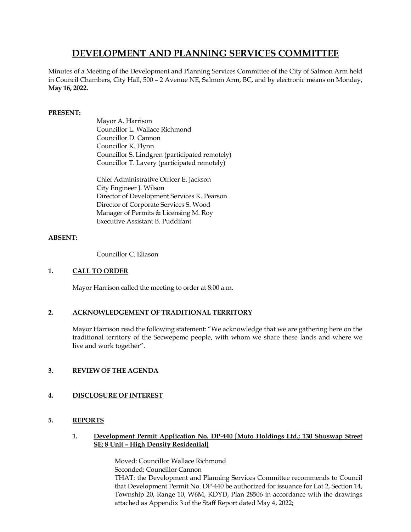# **DEVELOPMENT AND PLANNING SERVICES COMMITTEE**

Minutes of a Meeting of the Development and Planning Services Committee of the City of Salmon Arm held in Council Chambers, City Hall, 500 – 2 Avenue NE, Salmon Arm, BC, and by electronic means on Monday**, May 16, 2022.**

# **PRESENT:**

Mayor A. Harrison Councillor L. Wallace Richmond Councillor D. Cannon Councillor K. Flynn Councillor S. Lindgren (participated remotely) Councillor T. Lavery (participated remotely)

Chief Administrative Officer E. Jackson City Engineer J. Wilson Director of Development Services K. Pearson Director of Corporate Services S. Wood Manager of Permits & Licensing M. Roy Executive Assistant B. Puddifant

# **ABSENT:**

Councillor C. Eliason

# **1. CALL TO ORDER**

Mayor Harrison called the meeting to order at 8:00 a.m.

# **2. ACKNOWLEDGEMENT OF TRADITIONAL TERRITORY**

Mayor Harrison read the following statement: "We acknowledge that we are gathering here on the traditional territory of the Secwepemc people, with whom we share these lands and where we live and work together".

# **3. REVIEW OF THE AGENDA**

# **4. DISCLOSURE OF INTEREST**

# **5. REPORTS**

## **1. Development Permit Application No. DP-440 [Muto Holdings Ltd.; 130 Shuswap Street SE; 8 Unit – High Density Residential]**

Moved: Councillor Wallace Richmond Seconded: Councillor Cannon THAT: the Development and Planning Services Committee recommends to Council that Development Permit No. DP-440 be authorized for issuance for Lot 2, Section 14, Township 20, Range 10, W6M, KDYD, Plan 28506 in accordance with the drawings attached as Appendix 3 of the Staff Report dated May 4, 2022;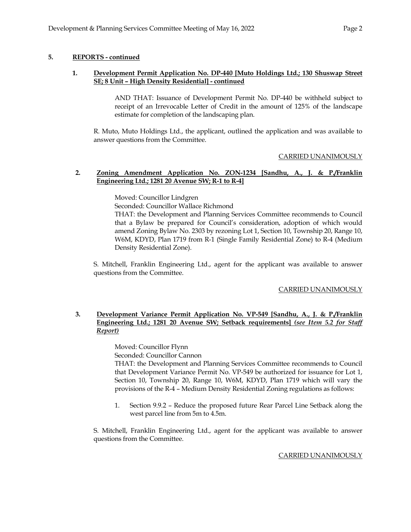# **5. REPORTS - continued**

## **1. Development Permit Application No. DP-440 [Muto Holdings Ltd.; 130 Shuswap Street SE; 8 Unit – High Density Residential] - continued**

AND THAT: Issuance of Development Permit No. DP-440 be withheld subject to receipt of an Irrevocable Letter of Credit in the amount of 125% of the landscape estimate for completion of the landscaping plan.

R. Muto, Muto Holdings Ltd., the applicant, outlined the application and was available to answer questions from the Committee.

#### CARRIED UNANIMOUSLY

### **2. Zoning Amendment Application No. ZON-1234 [Sandhu, A., J. & P./Franklin Engineering Ltd.; 1281 20 Avenue SW; R-1 to R-4]**

Moved: Councillor Lindgren

Seconded: Councillor Wallace Richmond

THAT: the Development and Planning Services Committee recommends to Council that a Bylaw be prepared for Council's consideration, adoption of which would amend Zoning Bylaw No. 2303 by rezoning Lot 1, Section 10, Township 20, Range 10, W6M, KDYD, Plan 1719 from R-1 (Single Family Residential Zone) to R-4 (Medium Density Residential Zone).

S. Mitchell, Franklin Engineering Ltd., agent for the applicant was available to answer questions from the Committee.

#### CARRIED UNANIMOUSLY

# **3. Development Variance Permit Application No. VP-549 [Sandhu, A., J. & P./Franklin Engineering Ltd.; 1281 20 Avenue SW; Setback requirements]** *(see Item 5.2 for Staff Report)*

Moved: Councillor Flynn

Seconded: Councillor Cannon

THAT: the Development and Planning Services Committee recommends to Council that Development Variance Permit No. VP-549 be authorized for issuance for Lot 1, Section 10, Township 20, Range 10, W6M, KDYD, Plan 1719 which will vary the provisions of the R-4 – Medium Density Residential Zoning regulations as follows:

1. Section 9.9.2 – Reduce the proposed future Rear Parcel Line Setback along the west parcel line from 5m to 4.5m.

S. Mitchell, Franklin Engineering Ltd., agent for the applicant was available to answer questions from the Committee.

#### CARRIED UNANIMOUSLY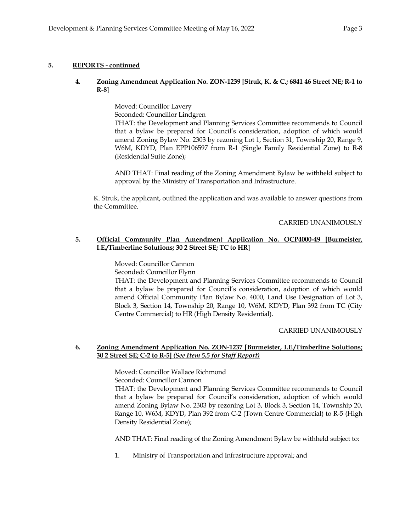# **5. REPORTS - continued**

# **4. Zoning Amendment Application No. ZON-1239 [Struk, K. & C.; 6841 46 Street NE; R-1 to R-8]**

Moved: Councillor Lavery Seconded: Councillor Lindgren THAT: the Development and Planning Services Committee recommends to Council that a bylaw be prepared for Council's consideration, adoption of which would amend Zoning Bylaw No. 2303 by rezoning Lot 1, Section 31, Township 20, Range 9, W6M, KDYD, Plan EPP106597 from R-1 (Single Family Residential Zone) to R-8 (Residential Suite Zone);

AND THAT: Final reading of the Zoning Amendment Bylaw be withheld subject to approval by the Ministry of Transportation and Infrastructure.

K. Struk, the applicant, outlined the application and was available to answer questions from the Committee.

## CARRIED UNANIMOUSLY

## **5. Official Community Plan Amendment Application No. OCP4000-49 [Burmeister, I.E./Timberline Solutions; 30 2 Street SE; TC to HR]**

Moved: Councillor Cannon

Seconded: Councillor Flynn

THAT: the Development and Planning Services Committee recommends to Council that a bylaw be prepared for Council's consideration, adoption of which would amend Official Community Plan Bylaw No. 4000, Land Use Designation of Lot 3, Block 3, Section 14, Township 20, Range 10, W6M, KDYD, Plan 392 from TC (City Centre Commercial) to HR (High Density Residential).

#### CARRIED UNANIMOUSLY

## **6. Zoning Amendment Application No. ZON-1237 [Burmeister, I.E./Timberline Solutions; 30 2 Street SE; C-2 to R-5]** *(See Item 5.5 for Staff Report)*

Moved: Councillor Wallace Richmond

Seconded: Councillor Cannon

THAT: the Development and Planning Services Committee recommends to Council that a bylaw be prepared for Council's consideration, adoption of which would amend Zoning Bylaw No. 2303 by rezoning Lot 3, Block 3, Section 14, Township 20, Range 10, W6M, KDYD, Plan 392 from C-2 (Town Centre Commercial) to R-5 (High Density Residential Zone);

AND THAT: Final reading of the Zoning Amendment Bylaw be withheld subject to:

1. Ministry of Transportation and Infrastructure approval; and